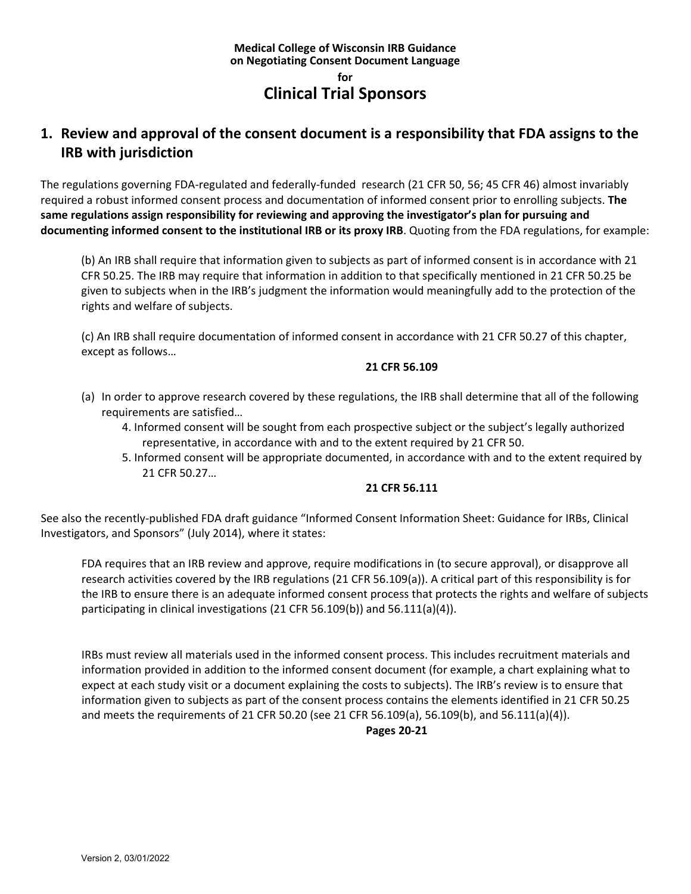### **Medical College of Wisconsin IRB Guidance on Negotiating Consent Document Language for Clinical Trial Sponsors**

# **1. Review and approval of the consent document is a responsibility that FDA assigns to the IRB with jurisdiction**

The regulations governing FDA‐regulated and federally‐funded research (21 CFR 50, 56; 45 CFR 46) almost invariably required a robust informed consent process and documentation of informed consent prior to enrolling subjects. **The same regulations assign responsibility for reviewing and approving the investigator's plan for pursuing and documenting informed consent to the institutional IRB or its proxy IRB**. Quoting from the FDA regulations, for example:

(b) An IRB shall require that information given to subjects as part of informed consent is in accordance with 21 CFR 50.25. The IRB may require that information in addition to that specifically mentioned in 21 CFR 50.25 be given to subjects when in the IRB's judgment the information would meaningfully add to the protection of the rights and welfare of subjects.

(c) An IRB shall require documentation of informed consent in accordance with 21 CFR 50.27 of this chapter, except as follows…

#### **21 CFR 56.109**

- (a) In order to approve research covered by these regulations, the IRB shall determine that all of the following requirements are satisfied…
	- 4. Informed consent will be sought from each prospective subject or the subject's legally authorized representative, in accordance with and to the extent required by 21 CFR 50.
	- 5. Informed consent will be appropriate documented, in accordance with and to the extent required by 21 CFR 50.27…

#### **21 CFR 56.111**

See also the recently‐published FDA draft guidance "Informed Consent Information Sheet: Guidance for IRBs, Clinical Investigators, and Sponsors" (July 2014), where it states:

FDA requires that an IRB review and approve, require modifications in (to secure approval), or disapprove all research activities covered by the IRB regulations (21 CFR 56.109(a)). A critical part of this responsibility is for the IRB to ensure there is an adequate informed consent process that protects the rights and welfare of subjects participating in clinical investigations (21 CFR 56.109(b)) and 56.111(a)(4)).

IRBs must review all materials used in the informed consent process. This includes recruitment materials and information provided in addition to the informed consent document (for example, a chart explaining what to expect at each study visit or a document explaining the costs to subjects). The IRB's review is to ensure that information given to subjects as part of the consent process contains the elements identified in 21 CFR 50.25 and meets the requirements of 21 CFR 50.20 (see 21 CFR 56.109(a), 56.109(b), and 56.111(a)(4)).

**Pages 20‐21**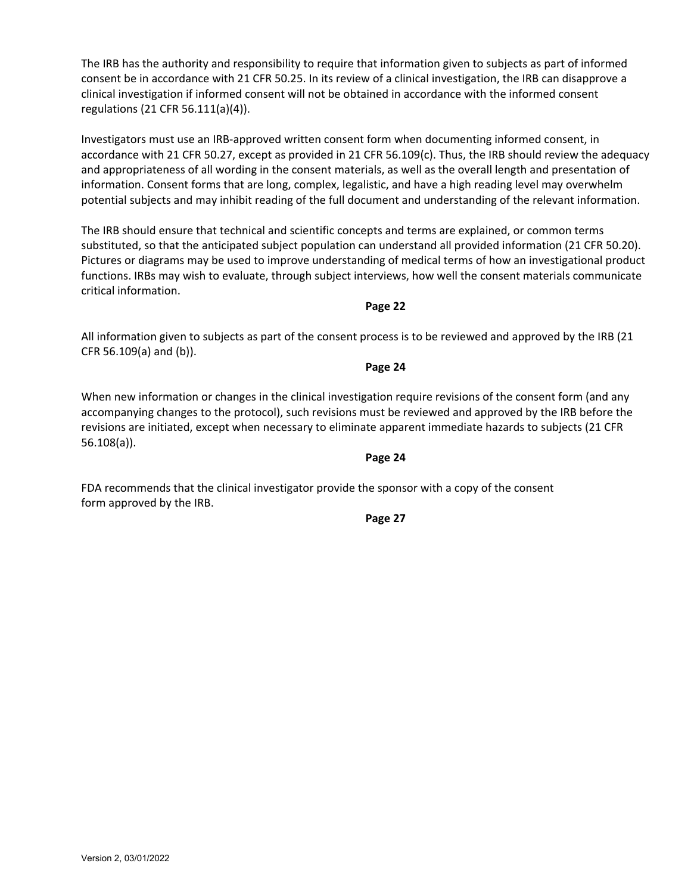The IRB has the authority and responsibility to require that information given to subjects as part of informed consent be in accordance with 21 CFR 50.25. In its review of a clinical investigation, the IRB can disapprove a clinical investigation if informed consent will not be obtained in accordance with the informed consent regulations (21 CFR 56.111(a)(4)).

Investigators must use an IRB‐approved written consent form when documenting informed consent, in accordance with 21 CFR 50.27, except as provided in 21 CFR 56.109(c). Thus, the IRB should review the adequacy and appropriateness of all wording in the consent materials, as well as the overall length and presentation of information. Consent forms that are long, complex, legalistic, and have a high reading level may overwhelm potential subjects and may inhibit reading of the full document and understanding of the relevant information.

The IRB should ensure that technical and scientific concepts and terms are explained, or common terms substituted, so that the anticipated subject population can understand all provided information (21 CFR 50.20). Pictures or diagrams may be used to improve understanding of medical terms of how an investigational product functions. IRBs may wish to evaluate, through subject interviews, how well the consent materials communicate critical information.

#### **Page 22**

All information given to subjects as part of the consent process is to be reviewed and approved by the IRB (21 CFR 56.109(a) and (b)).

**Page 24**

When new information or changes in the clinical investigation require revisions of the consent form (and any accompanying changes to the protocol), such revisions must be reviewed and approved by the IRB before the revisions are initiated, except when necessary to eliminate apparent immediate hazards to subjects (21 CFR 56.108(a)).

### **Page 24**

FDA recommends that the clinical investigator provide the sponsor with a copy of the consent form approved by the IRB.

**Page 27**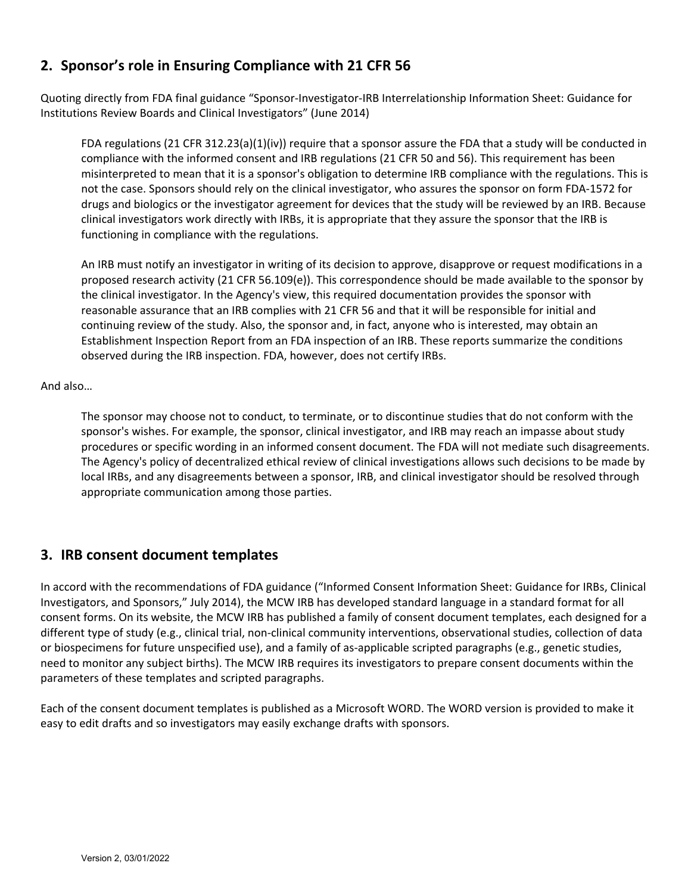# **2. Sponsor's role in Ensuring Compliance with 21 CFR 56**

Quoting directly from FDA final guidance "Sponsor‐Investigator‐IRB Interrelationship Information Sheet: Guidance for Institutions Review Boards and Clinical Investigators" (June 2014)

FDA regulations (21 CFR 312.23(a)(1)(iv)) require that a sponsor assure the FDA that a study will be conducted in compliance with the informed consent and IRB regulations (21 CFR 50 and 56). This requirement has been misinterpreted to mean that it is a sponsor's obligation to determine IRB compliance with the regulations. This is not the case. Sponsors should rely on the clinical investigator, who assures the sponsor on form FDA‐1572 for drugs and biologics or the investigator agreement for devices that the study will be reviewed by an IRB. Because clinical investigators work directly with IRBs, it is appropriate that they assure the sponsor that the IRB is functioning in compliance with the regulations.

An IRB must notify an investigator in writing of its decision to approve, disapprove or request modifications in a proposed research activity (21 CFR 56.109(e)). This correspondence should be made available to the sponsor by the clinical investigator. In the Agency's view, this required documentation provides the sponsor with reasonable assurance that an IRB complies with 21 CFR 56 and that it will be responsible for initial and continuing review of the study. Also, the sponsor and, in fact, anyone who is interested, may obtain an Establishment Inspection Report from an FDA inspection of an IRB. These reports summarize the conditions observed during the IRB inspection. FDA, however, does not certify IRBs.

### And also…

The sponsor may choose not to conduct, to terminate, or to discontinue studies that do not conform with the sponsor's wishes. For example, the sponsor, clinical investigator, and IRB may reach an impasse about study procedures or specific wording in an informed consent document. The FDA will not mediate such disagreements. The Agency's policy of decentralized ethical review of clinical investigations allows such decisions to be made by local IRBs, and any disagreements between a sponsor, IRB, and clinical investigator should be resolved through appropriate communication among those parties.

## **3. IRB consent document templates**

In accord with the recommendations of FDA guidance ("Informed Consent Information Sheet: Guidance for IRBs, Clinical Investigators, and Sponsors," July 2014), the MCW IRB has developed standard language in a standard format for all consent forms. On its website, the MCW IRB has published a family of consent document templates, each designed for a different type of study (e.g., clinical trial, non‐clinical community interventions, observational studies, collection of data or biospecimens for future unspecified use), and a family of as‐applicable scripted paragraphs (e.g., genetic studies, need to monitor any subject births). The MCW IRB requires its investigators to prepare consent documents within the parameters of these templates and scripted paragraphs.

Each of the consent document templates is published as a Microsoft WORD. The WORD version is provided to make it easy to edit drafts and so investigators may easily exchange drafts with sponsors.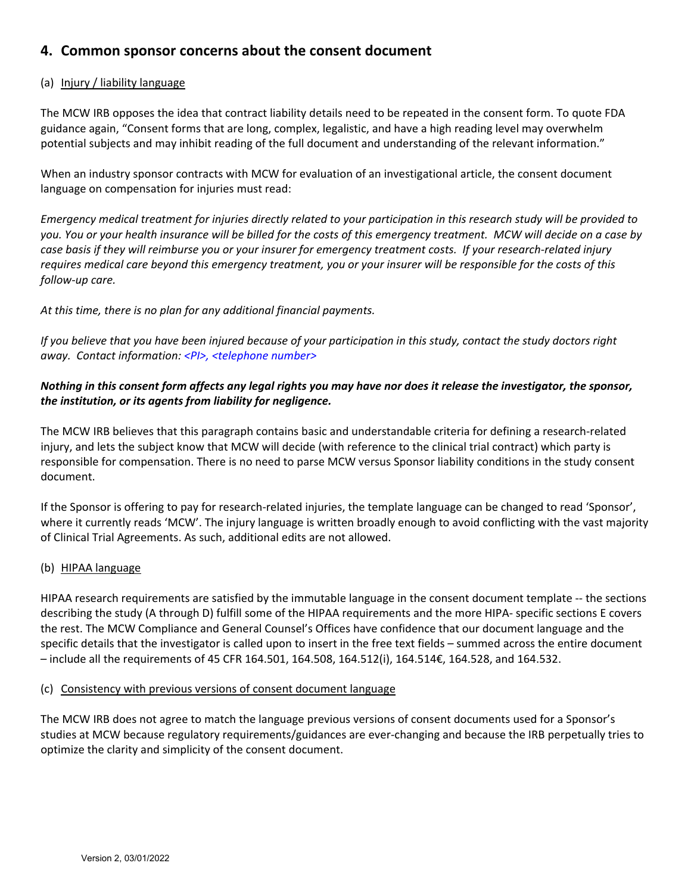## **4. Common sponsor concerns about the consent document**

### (a) Injury / liability language

The MCW IRB opposes the idea that contract liability details need to be repeated in the consent form. To quote FDA guidance again, "Consent forms that are long, complex, legalistic, and have a high reading level may overwhelm potential subjects and may inhibit reading of the full document and understanding of the relevant information."

When an industry sponsor contracts with MCW for evaluation of an investigational article, the consent document language on compensation for injuries must read:

Emergency medical treatment for injuries directly related to your participation in this research study will be provided to you. You or your health insurance will be billed for the costs of this emergency treatment. MCW will decide on a case by case basis if they will reimburse you or your insurer for emergency treatment costs. If your research-related injury requires medical care beyond this emergency treatment, you or your insurer will be responsible for the costs of this *follow‐up care.*

*At this time, there is no plan for any additional financial payments.*

If you believe that you have been injured because of your participation in this study, contact the study doctors right *away. Contact information: <PI>, <telephone number>*

### Nothing in this consent form affects any legal rights you may have nor does it release the investigator, the sponsor, *the institution, or its agents from liability for negligence.*

The MCW IRB believes that this paragraph contains basic and understandable criteria for defining a research‐related injury, and lets the subject know that MCW will decide (with reference to the clinical trial contract) which party is responsible for compensation. There is no need to parse MCW versus Sponsor liability conditions in the study consent document.

If the Sponsor is offering to pay for research-related injuries, the template language can be changed to read 'Sponsor', where it currently reads 'MCW'. The injury language is written broadly enough to avoid conflicting with the vast majority of Clinical Trial Agreements. As such, additional edits are not allowed.

### (b) HIPAA language

HIPAA research requirements are satisfied by the immutable language in the consent document template ‐‐ the sections describing the study (A through D) fulfill some of the HIPAA requirements and the more HIPA‐ specific sections E covers the rest. The MCW Compliance and General Counsel's Offices have confidence that our document language and the specific details that the investigator is called upon to insert in the free text fields – summed across the entire document – include all the requirements of 45 CFR 164.501, 164.508, 164.512(i), 164.514€, 164.528, and 164.532.

### (c) Consistency with previous versions of consent document language

The MCW IRB does not agree to match the language previous versions of consent documents used for a Sponsor's studies at MCW because regulatory requirements/guidances are ever‐changing and because the IRB perpetually tries to optimize the clarity and simplicity of the consent document.